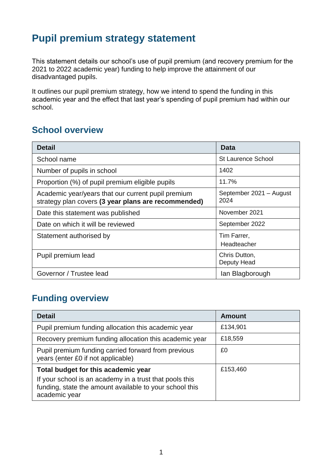# **Pupil premium strategy statement**

This statement details our school's use of pupil premium (and recovery premium for the 2021 to 2022 academic year) funding to help improve the attainment of our disadvantaged pupils.

It outlines our pupil premium strategy, how we intend to spend the funding in this academic year and the effect that last year's spending of pupil premium had within our school.

### **School overview**

| <b>Detail</b>                                                                                             | <b>Data</b>                     |
|-----------------------------------------------------------------------------------------------------------|---------------------------------|
| School name                                                                                               | <b>St Laurence School</b>       |
| Number of pupils in school                                                                                | 1402                            |
| Proportion (%) of pupil premium eligible pupils                                                           | 11.7%                           |
| Academic year/years that our current pupil premium<br>strategy plan covers (3 year plans are recommended) | September 2021 - August<br>2024 |
| Date this statement was published                                                                         | November 2021                   |
| Date on which it will be reviewed                                                                         | September 2022                  |
| Statement authorised by                                                                                   | Tim Farrer,<br>Headteacher      |
| Pupil premium lead                                                                                        | Chris Dutton,<br>Deputy Head    |
| Governor / Trustee lead                                                                                   | lan Blagborough                 |

## **Funding overview**

| <b>Detail</b>                                                                                                                       | <b>Amount</b> |
|-------------------------------------------------------------------------------------------------------------------------------------|---------------|
| Pupil premium funding allocation this academic year                                                                                 | £134,901      |
| Recovery premium funding allocation this academic year                                                                              | £18,559       |
| Pupil premium funding carried forward from previous<br>years (enter £0 if not applicable)                                           | £0            |
| Total budget for this academic year                                                                                                 | £153,460      |
| If your school is an academy in a trust that pools this<br>funding, state the amount available to your school this<br>academic year |               |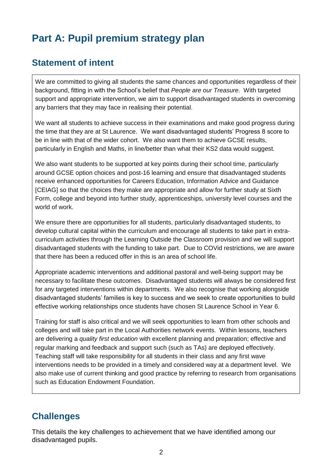# **Part A: Pupil premium strategy plan**

## **Statement of intent**

We are committed to giving all students the same chances and opportunities regardless of their background, fitting in with the School's belief that *People are our Treasure*. With targeted support and appropriate intervention, we aim to support disadvantaged students in overcoming any barriers that they may face in realising their potential.

We want all students to achieve success in their examinations and make good progress during the time that they are at St Laurence. We want disadvantaged students' Progress 8 score to be in line with that of the wider cohort. We also want them to achieve GCSE results, particularly in English and Maths, in line/better than what their KS2 data would suggest.

We also want students to be supported at key points during their school time, particularly around GCSE option choices and post-16 learning and ensure that disadvantaged students receive enhanced opportunities for Careers Education, Information Advice and Guidance [CEIAG] so that the choices they make are appropriate and allow for further study at Sixth Form, college and beyond into further study, apprenticeships, university level courses and the world of work.

We ensure there are opportunities for all students, particularly disadvantaged students, to develop cultural capital within the curriculum and encourage all students to take part in extracurriculum activities through the Learning Outside the Classroom provision and we will support disadvantaged students with the funding to take part. Due to COVid restrictions, we are aware that there has been a reduced offer in this is an area of school life.

Appropriate academic interventions and additional pastoral and well-being support may be necessary to facilitate these outcomes. Disadvantaged students will always be considered first for any targeted interventions within departments. We also recognise that working alongside disadvantaged students' families is key to success and we seek to create opportunities to build effective working relationships once students have chosen St Laurence School in Year 6.

Training for staff is also critical and we will seek opportunities to learn from other schools and colleges and will take part in the Local Authorities network events. Within lessons, teachers are delivering a *quality first education* with excellent planning and preparation; effective and regular marking and feedback and support such (such as TAs) are deployed effectively. Teaching staff will take responsibility for all students in their class and any first wave interventions needs to be provided in a timely and considered way at a department level. We also make use of current thinking and good practice by referring to research from organisations such as Education Endowment Foundation.

# **Challenges**

This details the key challenges to achievement that we have identified among our disadvantaged pupils.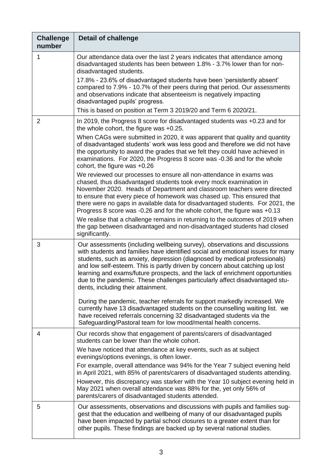| <b>Challenge</b><br>number | <b>Detail of challenge</b>                                                                                                                                                                                                                                                                                                                                                                                                                                                                                                         |
|----------------------------|------------------------------------------------------------------------------------------------------------------------------------------------------------------------------------------------------------------------------------------------------------------------------------------------------------------------------------------------------------------------------------------------------------------------------------------------------------------------------------------------------------------------------------|
| 1                          | Our attendance data over the last 2 years indicates that attendance among<br>disadvantaged students has been between 1.8% - 3.7% lower than for non-<br>disadvantaged students.                                                                                                                                                                                                                                                                                                                                                    |
|                            | 17.8% - 23.6% of disadvantaged students have been 'persistently absent'<br>compared to 7.9% - 10.7% of their peers during that period. Our assessments<br>and observations indicate that absenteeism is negatively impacting<br>disadvantaged pupils' progress.<br>This is based on position at Term 3 2019/20 and Term 6 2020/21.                                                                                                                                                                                                 |
| $\overline{2}$             | In 2019, the Progress 8 score for disadvantaged students was +0.23 and for<br>the whole cohort, the figure was +0.25.                                                                                                                                                                                                                                                                                                                                                                                                              |
|                            | When CAGs were submitted in 2020, it was apparent that quality and quantity<br>of disadvantaged students' work was less good and therefore we did not have<br>the opportunity to award the grades that we felt they could have achieved in<br>examinations. For 2020, the Progress 8 score was -0.36 and for the whole<br>cohort, the figure was +0.26                                                                                                                                                                             |
|                            | We reviewed our processes to ensure all non-attendance in exams was<br>chased, thus disadvantaged students took every mock examination in<br>November 2020. Heads of Department and classroom teachers were directed<br>to ensure that every piece of homework was chased up. This ensured that<br>there were no gaps in available data for disadvantaged students. For 2021, the<br>Progress 8 score was -0.26 and for the whole cohort, the figure was +0.13                                                                     |
|                            | We realise that a challenge remains in returning to the outcomes of 2019 when<br>the gap between disadvantaged and non-disadvantaged students had closed<br>significantly.                                                                                                                                                                                                                                                                                                                                                         |
| 3                          | Our assessments (including wellbeing survey), observations and discussions<br>with students and families have identified social and emotional issues for many<br>students, such as anxiety, depression (diagnosed by medical professionals)<br>and low self-esteem. This is partly driven by concern about catching up lost<br>learning and exams/future prospects, and the lack of enrichment opportunities<br>due to the pandemic. These challenges particularly affect disadvantaged stu-<br>dents, including their attainment. |
|                            | During the pandemic, teacher referrals for support markedly increased. We<br>currently have 13 disadvantaged students on the counselling waiting list. we<br>have received referrals concerning 32 disadvantaged students via the<br>Safeguarding/Pastoral team for low mood/mental health concerns.                                                                                                                                                                                                                               |
| 4                          | Our records show that engagement of parents/carers of disadvantaged<br>students can be lower than the whole cohort.                                                                                                                                                                                                                                                                                                                                                                                                                |
|                            | We have noticed that attendance at key events, such as at subject<br>evenings/options evenings, is often lower.                                                                                                                                                                                                                                                                                                                                                                                                                    |
|                            | For example, overall attendance was 94% for the Year 7 subject evening held<br>in April 2021, with 85% of parents/carers of disadvantaged students attending.<br>However, this discrepancy was starker with the Year 10 subject evening held in<br>May 2021 when overall attendance was 88% for the, yet only 56% of<br>parents/carers of disadvantaged students attended.                                                                                                                                                         |
| 5                          | Our assessments, observations and discussions with pupils and families sug-<br>gest that the education and wellbeing of many of our disadvantaged pupils<br>have been impacted by partial school closures to a greater extent than for<br>other pupils. These findings are backed up by several national studies.                                                                                                                                                                                                                  |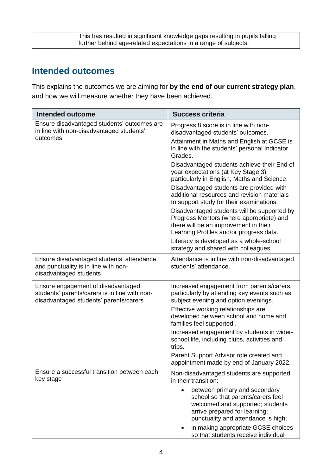| This has resulted in significant knowledge gaps resulting in pupils falling |
|-----------------------------------------------------------------------------|
| further behind age-related expectations in a range of subjects.             |

### **Intended outcomes**

This explains the outcomes we are aiming for **by the end of our current strategy plan**, and how we will measure whether they have been achieved.

| <b>Intended outcome</b>                                                                                                       | <b>Success criteria</b>                                                                                                                                                                                                                                                 |  |
|-------------------------------------------------------------------------------------------------------------------------------|-------------------------------------------------------------------------------------------------------------------------------------------------------------------------------------------------------------------------------------------------------------------------|--|
| Ensure disadvantaged students' outcomes are<br>in line with non-disadvantaged students'<br>outcomes                           | Progress 8 score is in line with non-<br>disadvantaged students' outcomes.<br>Attainment in Maths and English at GCSE is<br>in line with the students' personal Indicator<br>Grades.                                                                                    |  |
|                                                                                                                               | Disadvantaged students achieve their End of<br>year expectations (at Key Stage 3)<br>particularly in English, Maths and Science.<br>Disadvantaged students are provided with<br>additional resources and revision materials<br>to support study for their examinations. |  |
|                                                                                                                               | Disadvantaged students will be supported by<br>Progress Mentors (where appropriate) and<br>there will be an improvement in their<br>Learning Profiles and/or progress data.<br>Literacy is developed as a whole-school                                                  |  |
|                                                                                                                               | strategy and shared with colleagues                                                                                                                                                                                                                                     |  |
| Ensure disadvantaged students' attendance<br>and punctuality is in line with non-<br>disadvantaged students                   | Attendance is in line with non-disadvantaged<br>students' attendance.                                                                                                                                                                                                   |  |
| Ensure engagement of disadvantaged<br>students' parents/carers is in line with non-<br>disadvantaged students' parents/carers | Increased engagement from parents/carers,<br>particularly by attending key events such as<br>subject evening and option evenings.                                                                                                                                       |  |
|                                                                                                                               | Effective working relationships are<br>developed between school and home and<br>families feel supported.                                                                                                                                                                |  |
|                                                                                                                               | Increased engagement by students in wider-<br>school life, including clubs, activities and<br>trips.                                                                                                                                                                    |  |
|                                                                                                                               | Parent Support Advisor role created and<br>appointment made by end of January 2022.                                                                                                                                                                                     |  |
| Ensure a successful transition between each<br>key stage                                                                      | Non-disadvantaged students are supported<br>in their transition:                                                                                                                                                                                                        |  |
|                                                                                                                               | between primary and secondary<br>$\bullet$<br>school so that parents/carers feel<br>welcomed and supported; students<br>arrive prepared for learning;<br>punctuality and attendance is high;                                                                            |  |
|                                                                                                                               | in making appropriate GCSE choices<br>so that students receive individual                                                                                                                                                                                               |  |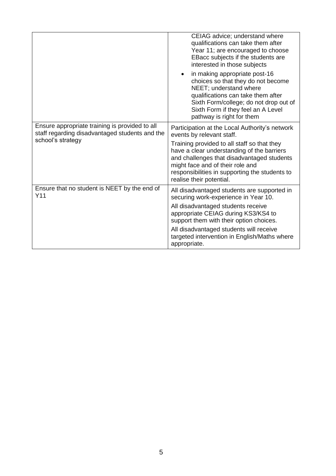|                                                                                                  | CEIAG advice; understand where<br>qualifications can take them after<br>Year 11; are encouraged to choose<br>EBacc subjects if the students are<br>interested in those subjects                                                                           |  |
|--------------------------------------------------------------------------------------------------|-----------------------------------------------------------------------------------------------------------------------------------------------------------------------------------------------------------------------------------------------------------|--|
|                                                                                                  | in making appropriate post-16<br>choices so that they do not become<br>NEET; understand where<br>qualifications can take them after<br>Sixth Form/college; do not drop out of<br>Sixth Form if they feel an A Level<br>pathway is right for them          |  |
| Ensure appropriate training is provided to all<br>staff regarding disadvantaged students and the | Participation at the Local Authority's network<br>events by relevant staff.                                                                                                                                                                               |  |
| school's strategy                                                                                | Training provided to all staff so that they<br>have a clear understanding of the barriers<br>and challenges that disadvantaged students<br>might face and of their role and<br>responsibilities in supporting the students to<br>realise their potential. |  |
| Ensure that no student is NEET by the end of<br>Y11                                              | All disadvantaged students are supported in<br>securing work-experience in Year 10.                                                                                                                                                                       |  |
|                                                                                                  | All disadvantaged students receive<br>appropriate CEIAG during KS3/KS4 to<br>support them with their option choices.                                                                                                                                      |  |
|                                                                                                  | All disadvantaged students will receive<br>targeted intervention in English/Maths where<br>appropriate.                                                                                                                                                   |  |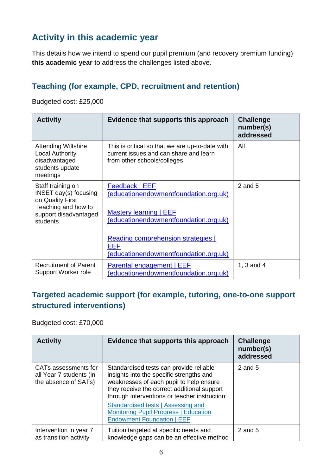# **Activity in this academic year**

This details how we intend to spend our pupil premium (and recovery premium funding) **this academic year** to address the challenges listed above.

#### **Teaching (for example, CPD, recruitment and retention)**

Budgeted cost: £25,000

| <b>Activity</b>                                                                                                                   | Evidence that supports this approach                                                                                                                                                                           | <b>Challenge</b><br>number(s)<br>addressed |
|-----------------------------------------------------------------------------------------------------------------------------------|----------------------------------------------------------------------------------------------------------------------------------------------------------------------------------------------------------------|--------------------------------------------|
| <b>Attending Wiltshire</b><br><b>Local Authority</b><br>disadvantaged<br>students update<br>meetings                              | This is critical so that we are up-to-date with<br>current issues and can share and learn<br>from other schools/colleges                                                                                       | All                                        |
| Staff training on<br><b>INSET day(s) focusing</b><br>on Quality First<br>Teaching and how to<br>support disadvantaged<br>students | Feedback   EEF<br>(educationendowmentfoundation.org.uk)<br>Mastery learning   EEF<br>(educationendowmentfoundation.org.uk)<br>Reading comprehension strategies<br>EEF<br>(educationendowmentfoundation.org.uk) | $2$ and $5$                                |
| <b>Recruitment of Parent</b><br>Support Worker role                                                                               | Parental engagement   EEF<br>(educationendowmentfoundation.org.uk)                                                                                                                                             | 1, $3$ and $4$                             |

#### **Targeted academic support (for example, tutoring, one-to-one support structured interventions)**

Budgeted cost: £70,000

| <b>Activity</b>                                                         | Evidence that supports this approach                                                                                                                                                                                           | <b>Challenge</b><br>number(s)<br>addressed |
|-------------------------------------------------------------------------|--------------------------------------------------------------------------------------------------------------------------------------------------------------------------------------------------------------------------------|--------------------------------------------|
| CATs assessments for<br>all Year 7 students (in<br>the absence of SATs) | Standardised tests can provide reliable<br>insights into the specific strengths and<br>weaknesses of each pupil to help ensure<br>they receive the correct additional support<br>through interventions or teacher instruction: | 2 and 5                                    |
|                                                                         | Standardised tests   Assessing and<br><b>Monitoring Pupil Progress   Education</b><br><b>Endowment Foundation   EEF</b>                                                                                                        |                                            |
| Intervention in year 7<br>as transition activity                        | Tuition targeted at specific needs and<br>knowledge gaps can be an effective method                                                                                                                                            | 2 and 5                                    |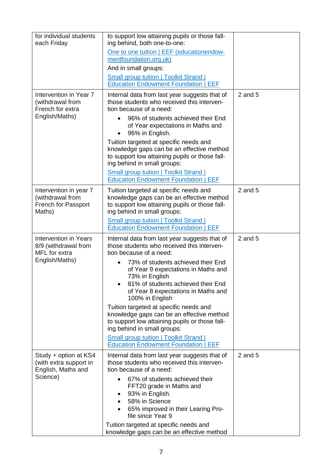| for individual students<br>each Friday                                           | to support low attaining pupils or those fall-<br>ing behind, both one-to-one:                                                                                                                                                                                                                                        |             |
|----------------------------------------------------------------------------------|-----------------------------------------------------------------------------------------------------------------------------------------------------------------------------------------------------------------------------------------------------------------------------------------------------------------------|-------------|
|                                                                                  | One to one tuition   EEF (educationendow-<br>mentfoundation.org.uk)                                                                                                                                                                                                                                                   |             |
|                                                                                  | And in small groups:                                                                                                                                                                                                                                                                                                  |             |
|                                                                                  | <b>Small group tuition   Toolkit Strand  </b>                                                                                                                                                                                                                                                                         |             |
|                                                                                  | <b>Education Endowment Foundation   EEF</b>                                                                                                                                                                                                                                                                           |             |
| Intervention in Year 7<br>(withdrawal from<br>French for extra<br>English/Maths) | Internal data from last year suggests that of<br>those students who received this interven-<br>tion because of a need:<br>96% of students achieved their End<br>of Year expectations in Maths and<br>96% in English.<br>Tuition targeted at specific needs and<br>knowledge gaps can be an effective method           | $2$ and $5$ |
|                                                                                  | to support low attaining pupils or those fall-<br>ing behind in small groups:                                                                                                                                                                                                                                         |             |
|                                                                                  | <b>Small group tuition   Toolkit Strand  </b><br><b>Education Endowment Foundation   EEF</b>                                                                                                                                                                                                                          |             |
| Intervention in year 7<br>(withdrawal from<br>French for Passport<br>Maths)      | Tuition targeted at specific needs and<br>knowledge gaps can be an effective method<br>to support low attaining pupils or those fall-<br>ing behind in small groups:<br><b>Small group tuition   Toolkit Strand  </b><br><b>Education Endowment Foundation   EEF</b>                                                  | $2$ and $5$ |
| Intervention in Years                                                            |                                                                                                                                                                                                                                                                                                                       | $2$ and $5$ |
| 8/9 (withdrawal from<br>MFL for extra<br>English/Maths)                          | Internal data from last year suggests that of<br>those students who received this interven-<br>tion because of a need:<br>73% of students achieved their End<br>of Year 9 expectations in Maths and<br>73% in English<br>81% of students achieved their End<br>of Year 8 expectations in Maths and<br>100% in English |             |
|                                                                                  | Tuition targeted at specific needs and<br>knowledge gaps can be an effective method<br>to support low attaining pupils or those fall-<br>ing behind in small groups:                                                                                                                                                  |             |
|                                                                                  | <b>Small group tuition   Toolkit Strand  </b><br><b>Education Endowment Foundation   EEF</b>                                                                                                                                                                                                                          |             |
| Study + option at KS4<br>(with extra support in<br>English, Maths and            | Internal data from last year suggests that of<br>those students who received this interven-<br>tion because of a need:                                                                                                                                                                                                | $2$ and $5$ |
| Science)                                                                         | 67% of students achieved their<br>FFT20 grade in Maths and<br>93% in English.<br>58% in Science<br>65% improved in their Learing Pro-<br>file since Year 9                                                                                                                                                            |             |
|                                                                                  | Tuition targeted at specific needs and<br>knowledge gaps can be an effective method                                                                                                                                                                                                                                   |             |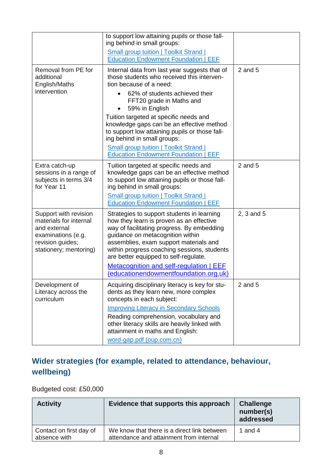|                                                                                                                                     | to support low attaining pupils or those fall-<br>ing behind in small groups:                                                                                                                                                                                                                              |             |
|-------------------------------------------------------------------------------------------------------------------------------------|------------------------------------------------------------------------------------------------------------------------------------------------------------------------------------------------------------------------------------------------------------------------------------------------------------|-------------|
|                                                                                                                                     | <b>Small group tuition   Toolkit Strand  </b><br><b>Education Endowment Foundation   EEF</b>                                                                                                                                                                                                               |             |
| Removal from PE for<br>additional<br>English/Maths                                                                                  | Internal data from last year suggests that of<br>those students who received this interven-<br>tion because of a need:                                                                                                                                                                                     | $2$ and $5$ |
| intervention                                                                                                                        | 62% of students achieved their<br>FFT20 grade in Maths and<br>59% in English                                                                                                                                                                                                                               |             |
|                                                                                                                                     | Tuition targeted at specific needs and<br>knowledge gaps can be an effective method<br>to support low attaining pupils or those fall-<br>ing behind in small groups:                                                                                                                                       |             |
|                                                                                                                                     | <b>Small group tuition   Toolkit Strand  </b><br><b>Education Endowment Foundation   EEF</b>                                                                                                                                                                                                               |             |
| Extra catch-up<br>sessions in a range of<br>subjects in terms 3/4<br>for Year 11                                                    | Tuition targeted at specific needs and<br>knowledge gaps can be an effective method<br>to support low attaining pupils or those fall-<br>ing behind in small groups:                                                                                                                                       | $2$ and $5$ |
|                                                                                                                                     | <b>Small group tuition   Toolkit Strand  </b><br><b>Education Endowment Foundation   EEF</b>                                                                                                                                                                                                               |             |
| Support with revision<br>materials for internal<br>and external<br>examinations (e.g.<br>revision guides;<br>stationery; mentoring) | Strategies to support students in learning<br>how they learn is proven as an effective<br>way of facilitating progress. By embedding<br>guidance on metacognition within<br>assemblies, exam support materials and<br>within progress coaching sessions, students<br>are better equipped to self-regulate. | 2, 3 and 5  |
|                                                                                                                                     | Metacognition and self-regulation   EEF<br>(educationendowmentfoundation.org.uk)                                                                                                                                                                                                                           |             |
| Development of<br>Literacy across the<br>curriculum                                                                                 | Acquiring disciplinary literacy is key for stu-<br>dents as they learn new, more complex<br>concepts in each subject:                                                                                                                                                                                      | $2$ and $5$ |
|                                                                                                                                     | <b>Improving Literacy in Secondary Schools</b>                                                                                                                                                                                                                                                             |             |
|                                                                                                                                     | Reading comprehension, vocabulary and<br>other literacy skills are heavily linked with<br>attainment in maths and English:                                                                                                                                                                                 |             |
|                                                                                                                                     | word-gap.pdf (oup.com.cn)                                                                                                                                                                                                                                                                                  |             |

# **Wider strategies (for example, related to attendance, behaviour, wellbeing)**

### Budgeted cost: £50,000

| <b>Activity</b>                         | Evidence that supports this approach                                                   | <b>Challenge</b><br>number(s)<br>addressed |
|-----------------------------------------|----------------------------------------------------------------------------------------|--------------------------------------------|
| Contact on first day of<br>absence with | We know that there is a direct link between<br>attendance and attainment from internal | 1 and 4                                    |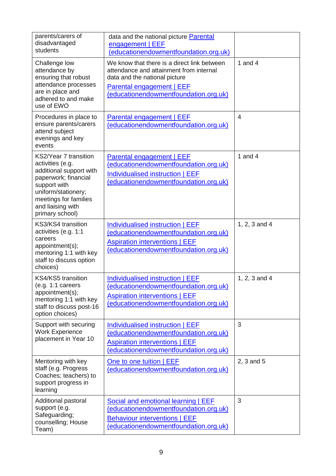| parents/carers of<br>disadvantaged<br>students                                                                                                                                                       | data and the national picture Parental<br>engagement   EEF<br>(educationendowmentfoundation.org.uk)                                                                                                  |                |
|------------------------------------------------------------------------------------------------------------------------------------------------------------------------------------------------------|------------------------------------------------------------------------------------------------------------------------------------------------------------------------------------------------------|----------------|
| Challenge low<br>attendance by<br>ensuring that robust<br>attendance processes<br>are in place and<br>adhered to and make<br>use of EWO                                                              | We know that there is a direct link between<br>attendance and attainment from internal<br>data and the national picture<br><b>Parental engagement   EEF</b><br>(educationendowmentfoundation.org.uk) | 1 and $4$      |
| Procedures in place to<br>ensure parents/carers<br>attend subject<br>evenings and key<br>events                                                                                                      | <b>Parental engagement   EEF</b><br>(educationendowmentfoundation.org.uk)                                                                                                                            | $\overline{4}$ |
| KS2/Year 7 transition<br>activities (e.g.<br>additional support with<br>paperwork; financial<br>support with<br>uniform/stationery;<br>meetings for families<br>and liaising with<br>primary school) | Parental engagement   EEF<br>(educationendowmentfoundation.org.uk)<br>Individualised instruction   EEF<br>(educationendowmentfoundation.org.uk)                                                      | 1 and $4$      |
| KS3/KS4 transition<br>activities (e.g. 1:1<br>careers<br>appointment(s);<br>mentoring 1:1 with key<br>staff to discuss option<br>choices)                                                            | Individualised instruction   EEF<br>(educationendowmentfoundation.org.uk)<br><b>Aspiration interventions   EEF</b><br>(educationendowmentfoundation.org.uk)                                          | 1, 2, 3 and 4  |
| KS4/KS5 transition<br>(e.g. 1:1 careers<br>appointment(s);<br>mentoring 1:1 with key<br>staff to discuss post-16<br>option choices)                                                                  | Individualised instruction   EEF<br>(educationendowmentfoundation.org.uk)<br><b>Aspiration interventions   EEF</b><br>(educationendowmentfoundation.org.uk)                                          | 1, 2, 3 and 4  |
| Support with securing<br><b>Work Experience</b><br>placement in Year 10                                                                                                                              | Individualised instruction   EEF<br>(educationendowmentfoundation.org.uk)<br><b>Aspiration interventions   EEF</b><br>(educationendowmentfoundation.org.uk)                                          | 3              |
| Mentoring with key<br>staff (e.g. Progress<br>Coaches; teachers) to<br>support progress in<br>learning                                                                                               | One to one tuition   EEF<br>(educationendowmentfoundation.org.uk)                                                                                                                                    | 2, 3 and 5     |
| Additional pastoral<br>support (e.g.<br>Safeguarding;<br>counselling; House<br>Team)                                                                                                                 | Social and emotional learning   EEF<br>(educationendowmentfoundation.org.uk)<br><b>Behaviour interventions   EEF</b><br>(educationendowmentfoundation.org.uk)                                        | 3              |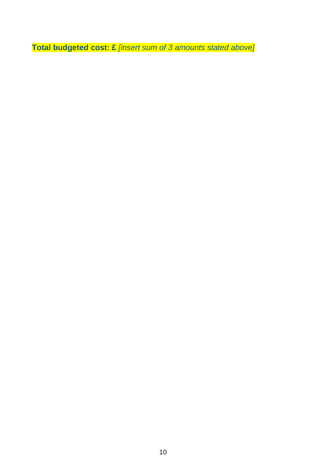**Total budgeted cost: £** *[insert sum of 3 amounts stated above]*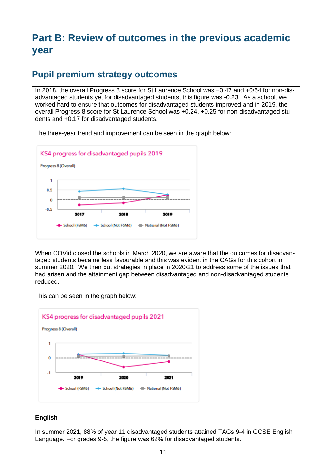# **Part B: Review of outcomes in the previous academic year**

#### **Pupil premium strategy outcomes**

In 2018, the overall Progress 8 score for St Laurence School was +0.47 and +0/54 for non-disadvantaged students yet for disadvantaged students, this figure was -0.23. As a school, we worked hard to ensure that outcomes for disadvantaged students improved and in 2019, the overall Progress 8 score for St Laurence School was +0.24, +0.25 for non-disadvantaged students and +0.17 for disadvantaged students.

The three-year trend and improvement can be seen in the graph below:



When COVid closed the schools in March 2020, we are aware that the outcomes for disadvantaged students became less favourable and this was evident in the CAGs for this cohort in summer 2020. We then put strategies in place in 2020/21 to address some of the issues that had arisen and the attainment gap between disadvantaged and non-disadvantaged students reduced.

This can be seen in the graph below:



#### **English**

In summer 2021, 88% of year 11 disadvantaged students attained TAGs 9-4 in GCSE English Language. For grades 9-5, the figure was 62% for disadvantaged students.